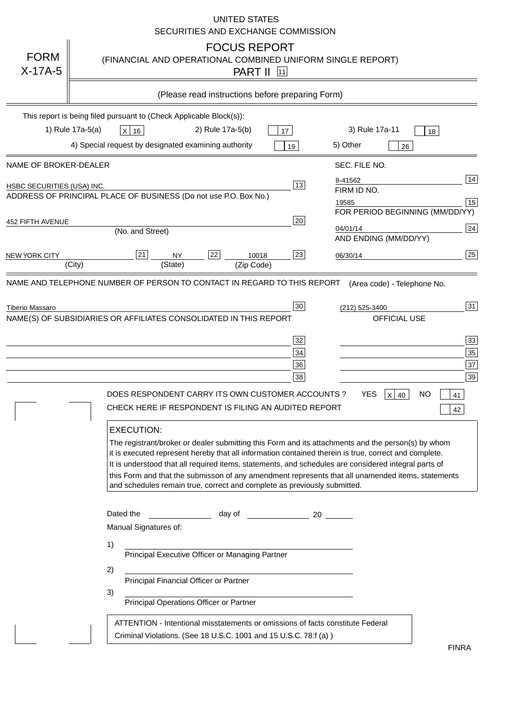|                                                                                             |                                                                     |                                                                                                                                                                                                                                                                                                                                                                                                                                                                                                                                                           |                                                                                   |                  | <b>UNITED STATES</b>                       | SECURITIES AND EXCHANGE COMMISSION               |          |                                 |                        |           |                                        |
|---------------------------------------------------------------------------------------------|---------------------------------------------------------------------|-----------------------------------------------------------------------------------------------------------------------------------------------------------------------------------------------------------------------------------------------------------------------------------------------------------------------------------------------------------------------------------------------------------------------------------------------------------------------------------------------------------------------------------------------------------|-----------------------------------------------------------------------------------|------------------|--------------------------------------------|--------------------------------------------------|----------|---------------------------------|------------------------|-----------|----------------------------------------|
| <b>FORM</b><br>$X-17A-5$                                                                    |                                                                     | (FINANCIAL AND OPERATIONAL COMBINED UNIFORM SINGLE REPORT)                                                                                                                                                                                                                                                                                                                                                                                                                                                                                                |                                                                                   |                  | <b>FOCUS REPORT</b><br><b>PART II</b> [11] |                                                  |          |                                 |                        |           |                                        |
|                                                                                             |                                                                     |                                                                                                                                                                                                                                                                                                                                                                                                                                                                                                                                                           |                                                                                   |                  |                                            | (Please read instructions before preparing Form) |          |                                 |                        |           |                                        |
|                                                                                             | This report is being filed pursuant to (Check Applicable Block(s)): |                                                                                                                                                                                                                                                                                                                                                                                                                                                                                                                                                           |                                                                                   |                  |                                            |                                                  |          |                                 |                        |           |                                        |
|                                                                                             | 1) Rule 17a-5(a)                                                    | $X$ 16                                                                                                                                                                                                                                                                                                                                                                                                                                                                                                                                                    |                                                                                   | 2) Rule 17a-5(b) |                                            | 17                                               |          | 3) Rule 17a-11                  |                        | 18        |                                        |
|                                                                                             | 4) Special request by designated examining authority                |                                                                                                                                                                                                                                                                                                                                                                                                                                                                                                                                                           |                                                                                   |                  |                                            | 19                                               | 5) Other |                                 | 26                     |           |                                        |
| NAME OF BROKER-DEALER                                                                       |                                                                     |                                                                                                                                                                                                                                                                                                                                                                                                                                                                                                                                                           |                                                                                   |                  |                                            |                                                  |          | SEC. FILE NO.                   |                        |           |                                        |
| HSBC SECURITIES (USA) INC.                                                                  |                                                                     |                                                                                                                                                                                                                                                                                                                                                                                                                                                                                                                                                           |                                                                                   |                  |                                            | 13                                               | 8-41562  |                                 |                        |           | 14                                     |
| ADDRESS OF PRINCIPAL PLACE OF BUSINESS (Do not use P.O. Box No.)                            |                                                                     |                                                                                                                                                                                                                                                                                                                                                                                                                                                                                                                                                           |                                                                                   |                  |                                            |                                                  | 19585    | FIRM ID NO.                     |                        |           | 15                                     |
|                                                                                             |                                                                     |                                                                                                                                                                                                                                                                                                                                                                                                                                                                                                                                                           |                                                                                   |                  |                                            |                                                  |          | FOR PERIOD BEGINNING (MM/DD/YY) |                        |           |                                        |
| 452 FIFTH AVENUE                                                                            |                                                                     | (No. and Street)                                                                                                                                                                                                                                                                                                                                                                                                                                                                                                                                          |                                                                                   |                  |                                            | 20                                               | 04/01/14 |                                 |                        |           | 24                                     |
|                                                                                             |                                                                     |                                                                                                                                                                                                                                                                                                                                                                                                                                                                                                                                                           |                                                                                   |                  |                                            |                                                  |          | AND ENDING (MM/DD/YY)           |                        |           |                                        |
| <b>NEW YORK CITY</b>                                                                        | (City)                                                              | 21                                                                                                                                                                                                                                                                                                                                                                                                                                                                                                                                                        | <b>NY</b><br>(State)                                                              | 22               | 10018<br>(Zip Code)                        | 23                                               | 06/30/14 |                                 |                        |           | 25                                     |
| NAME AND TELEPHONE NUMBER OF PERSON TO CONTACT IN REGARD TO THIS REPORT                     |                                                                     |                                                                                                                                                                                                                                                                                                                                                                                                                                                                                                                                                           |                                                                                   |                  |                                            |                                                  |          | (Area code) - Telephone No.     |                        |           |                                        |
| <b>Tiberio Massaro</b><br>NAME(S) OF SUBSIDIARIES OR AFFILIATES CONSOLIDATED IN THIS REPORT |                                                                     | DOES RESPONDENT CARRY ITS OWN CUSTOMER ACCOUNTS?<br>CHECK HERE IF RESPONDENT IS FILING AN AUDITED REPORT<br><b>EXECUTION:</b><br>The registrant/broker or dealer submitting this Form and its attachments and the person(s) by whom<br>it is executed represent hereby that all information contained therein is true, correct and complete.<br>It is understood that all required items, statements, and schedules are considered integral parts of<br>this Form and that the submisson of any amendment represents that all unamended items, statements |                                                                                   |                  |                                            | 30<br>32<br>34<br>36<br>38                       |          | (212) 525-3400<br>YES           | OFFICIAL USE<br>$X$ 40 | <b>NO</b> | 31<br>33<br>35<br>37<br>39<br>41<br>42 |
|                                                                                             |                                                                     | and schedules remain true, correct and complete as previously submitted.                                                                                                                                                                                                                                                                                                                                                                                                                                                                                  |                                                                                   |                  |                                            |                                                  |          |                                 |                        |           |                                        |
|                                                                                             |                                                                     | Dated the<br>Manual Signatures of:                                                                                                                                                                                                                                                                                                                                                                                                                                                                                                                        |                                                                                   |                  |                                            | day of 20                                        |          |                                 |                        |           |                                        |
|                                                                                             | 1)<br>2)                                                            |                                                                                                                                                                                                                                                                                                                                                                                                                                                                                                                                                           | Principal Executive Officer or Managing Partner                                   |                  |                                            |                                                  |          |                                 |                        |           |                                        |
|                                                                                             | 3)                                                                  |                                                                                                                                                                                                                                                                                                                                                                                                                                                                                                                                                           | Principal Financial Officer or Partner<br>Principal Operations Officer or Partner |                  |                                            |                                                  |          |                                 |                        |           |                                        |
|                                                                                             |                                                                     | ATTENTION - Intentional misstatements or omissions of facts constitute Federal<br>Criminal Violations. (See 18 U.S.C. 1001 and 15 U.S.C. 78:f (a))                                                                                                                                                                                                                                                                                                                                                                                                        |                                                                                   |                  |                                            |                                                  |          |                                 |                        |           | <b>FINRA</b>                           |

FINRA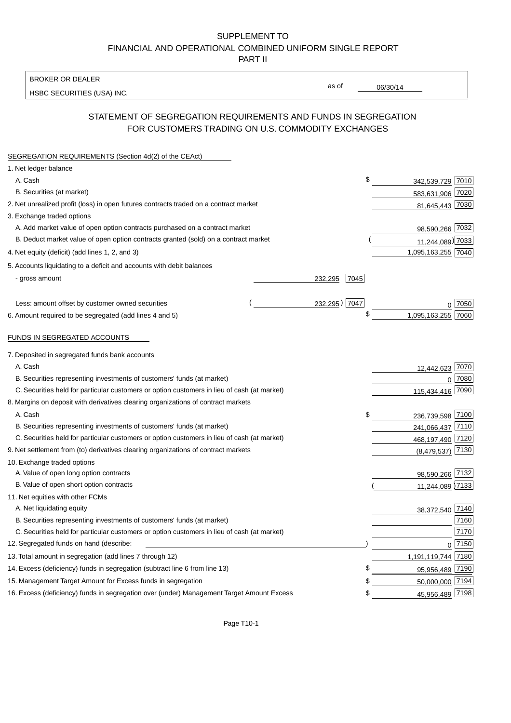### SUPPLEMENT TO FINANCIAL AND OPERATIONAL COMBINED UNIFORM SINGLE REPORT PART II

BROKER OR DEALER

HSBC SECURITIES (USA) INC.

06/30/14

as of

## STATEMENT OF SEGREGATION REQUIREMENTS AND FUNDS IN SEGREGATION FOR CUSTOMERS TRADING ON U.S. COMMODITY EXCHANGES

| SEGREGATION REQUIREMENTS (Section 4d(2) of the CEAct)                                       |                 |                       |
|---------------------------------------------------------------------------------------------|-----------------|-----------------------|
| 1. Net ledger balance                                                                       |                 |                       |
| A. Cash                                                                                     | \$              | 342,539,729 7010      |
| B. Securities (at market)                                                                   |                 | 583,631,906 7020      |
| 2. Net unrealized profit (loss) in open futures contracts traded on a contract market       |                 | 81,645,443 7030       |
| 3. Exchange traded options                                                                  |                 |                       |
| A. Add market value of open option contracts purchased on a contract market                 |                 | 98,590,266 7032       |
| B. Deduct market value of open option contracts granted (sold) on a contract market         |                 | 11,244,089) 7033      |
| 4. Net equity (deficit) (add lines 1, 2, and 3)                                             |                 | 1,095,163,255 7040    |
| 5. Accounts liquidating to a deficit and accounts with debit balances                       |                 |                       |
| - gross amount                                                                              | 232.295<br>7045 |                       |
|                                                                                             |                 |                       |
| Less: amount offset by customer owned securities                                            | 232,295) 7047   | 7050                  |
| 6. Amount required to be segregated (add lines 4 and 5)                                     | \$              | 1,095,163,255<br>7060 |
|                                                                                             |                 |                       |
| FUNDS IN SEGREGATED ACCOUNTS                                                                |                 |                       |
| 7. Deposited in segregated funds bank accounts                                              |                 |                       |
| A. Cash                                                                                     |                 | 7070<br>12,442,623    |
| B. Securities representing investments of customers' funds (at market)                      |                 | 7080<br>$\mathbf{0}$  |
| C. Securities held for particular customers or option customers in lieu of cash (at market) |                 | 7090<br>115,434,416   |
| 8. Margins on deposit with derivatives clearing organizations of contract markets           |                 |                       |
| A. Cash                                                                                     | \$              | 236,739,598 7100      |
| B. Securities representing investments of customers' funds (at market)                      |                 | 241,066,437 7110      |
| C. Securities held for particular customers or option customers in lieu of cash (at market) |                 | 468,197,490 7120      |
| 9. Net settlement from (to) derivatives clearing organizations of contract markets          |                 | 7130<br>(8,479,537)   |
| 10. Exchange traded options                                                                 |                 |                       |
| A. Value of open long option contracts                                                      |                 | 98,590,266 7132       |
| B. Value of open short option contracts                                                     |                 | 11,244,089 7133       |
| 11. Net equities with other FCMs                                                            |                 |                       |
| A. Net liquidating equity                                                                   |                 | 38,372,540 7140       |
| B. Securities representing investments of customers' funds (at market)                      |                 | 7160                  |
| C. Securities held for particular customers or option customers in lieu of cash (at market) |                 | 7170                  |
| 12. Segregated funds on hand (describe:                                                     |                 | $0$ 7150              |
| 13. Total amount in segregation (add lines 7 through 12)                                    |                 | 1,191,119,744 7180    |
| 14. Excess (deficiency) funds in segregation (subtract line 6 from line 13)                 | \$              | 95,956,489 7190       |
| 15. Management Target Amount for Excess funds in segregation                                | \$              | 50,000,000 7194       |
| 16. Excess (deficiency) funds in segregation over (under) Management Target Amount Excess   | \$              | 45,956,489 7198       |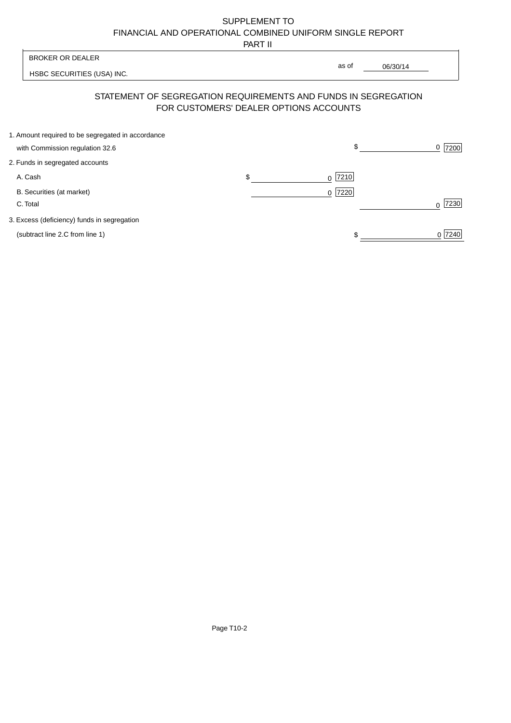# SUPPLEMENT TO FINANCIAL AND OPERATIONAL COMBINED UNIFORM SINGLE REPORT

PART II

|                                                                                      | .                                      |                                                                |                  |
|--------------------------------------------------------------------------------------|----------------------------------------|----------------------------------------------------------------|------------------|
| <b>BROKER OR DEALER</b>                                                              |                                        |                                                                |                  |
| HSBC SECURITIES (USA) INC.                                                           |                                        | as of<br>06/30/14                                              |                  |
|                                                                                      | FOR CUSTOMERS' DEALER OPTIONS ACCOUNTS | STATEMENT OF SEGREGATION REQUIREMENTS AND FUNDS IN SEGREGATION |                  |
| 1. Amount required to be segregated in accordance<br>with Commission regulation 32.6 |                                        | \$                                                             | 7200<br>0        |
| 2. Funds in segregated accounts                                                      |                                        |                                                                |                  |
|                                                                                      |                                        |                                                                |                  |
| A. Cash                                                                              | \$                                     | 7210<br>0                                                      |                  |
| B. Securities (at market)                                                            |                                        | 7220<br>$\Omega$                                               |                  |
| C. Total                                                                             |                                        |                                                                | 7230<br>$\Omega$ |
| 3. Excess (deficiency) funds in segregation                                          |                                        |                                                                |                  |
| (subtract line 2.C from line 1)                                                      |                                        |                                                                | 0 7240           |
|                                                                                      |                                        |                                                                |                  |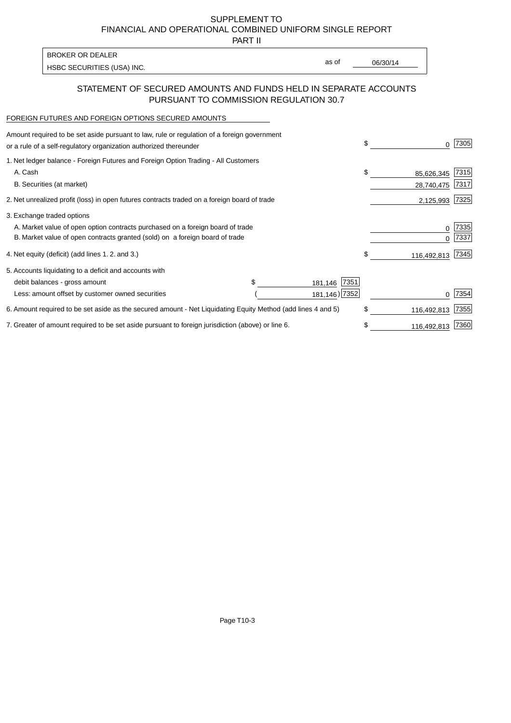SUPPLEMENT TO FINANCIAL AND OPERATIONAL COMBINED UNIFORM SINGLE REPORT

PART II

| BROKER OR DEALER           |       |          |
|----------------------------|-------|----------|
|                            | as of | 06/30/14 |
| HSBC SECURITIES (USA) INC. |       |          |

## STATEMENT OF SECURED AMOUNTS AND FUNDS HELD IN SEPARATE ACCOUNTS PURSUANT TO COMMISSION REGULATION 30.7

#### FOREIGN FUTURES AND FOREIGN OPTIONS SECURED AMOUNTS

| Amount required to be set aside pursuant to law, rule or regulation of a foreign government<br>or a rule of a self-regulatory organization authorized thereunder |               | \$          | 0           | 7305 |
|------------------------------------------------------------------------------------------------------------------------------------------------------------------|---------------|-------------|-------------|------|
| 1. Net ledger balance - Foreign Futures and Foreign Option Trading - All Customers                                                                               |               |             |             |      |
| A. Cash                                                                                                                                                          |               | \$          | 85,626,345  | 7315 |
| B. Securities (at market)                                                                                                                                        |               |             | 28,740,475  | 7317 |
| 2. Net unrealized profit (loss) in open futures contracts traded on a foreign board of trade                                                                     |               |             | 2,125,993   | 7325 |
| 3. Exchange traded options                                                                                                                                       |               |             |             |      |
| A. Market value of open option contracts purchased on a foreign board of trade                                                                                   |               |             | 0           | 7335 |
| B. Market value of open contracts granted (sold) on a foreign board of trade                                                                                     |               |             |             | 7337 |
| 4. Net equity (deficit) (add lines 1. 2. and 3.)                                                                                                                 |               | \$          | 116,492,813 | 7345 |
| 5. Accounts liquidating to a deficit and accounts with                                                                                                           |               |             |             |      |
| debit balances - gross amount                                                                                                                                    | 181,146       | 7351        |             |      |
| Less: amount offset by customer owned securities                                                                                                                 | 181,146) 7352 |             |             | 7354 |
| 6. Amount required to be set aside as the secured amount - Net Liquidating Equity Method (add lines 4 and 5)                                                     | \$            | 116,492,813 | 7355        |      |
| 7. Greater of amount required to be set aside pursuant to foreign jurisdiction (above) or line 6.                                                                |               | \$          | 116,492,813 | 7360 |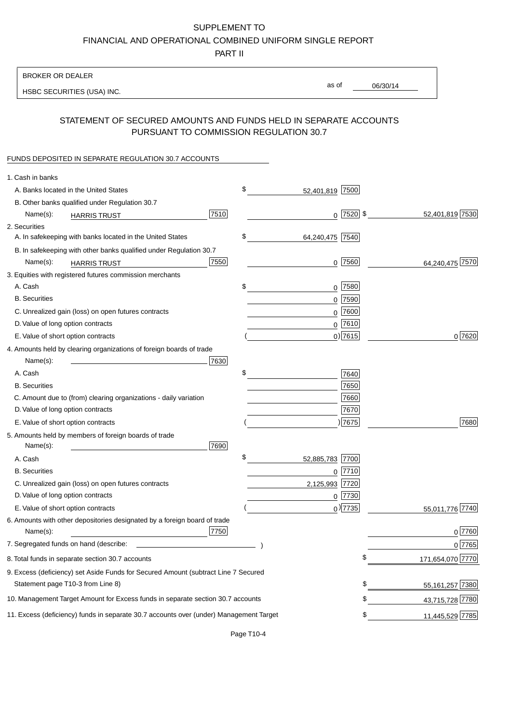# SUPPLEMENT TO

FINANCIAL AND OPERATIONAL COMBINED UNIFORM SINGLE REPORT

PART II

#### BROKER OR DEALER

HSBC SECURITIES (USA) INC.

06/30/14 as of

## STATEMENT OF SECURED AMOUNTS AND FUNDS HELD IN SEPARATE ACCOUNTS PURSUANT TO COMMISSION REGULATION 30.7

#### FUNDS DEPOSITED IN SEPARATE REGULATION 30.7 ACCOUNTS

| 1. Cash in banks                                                                       |                       |    |                  |
|----------------------------------------------------------------------------------------|-----------------------|----|------------------|
| A. Banks located in the United States                                                  | \$<br>52,401,819 7500 |    |                  |
| B. Other banks qualified under Regulation 30.7                                         |                       |    |                  |
| 7510<br>Name(s):<br><b>HARRIS TRUST</b>                                                | $0$ 7520 \$           |    | 52,401,819 7530  |
| 2. Securities                                                                          |                       |    |                  |
| A. In safekeeping with banks located in the United States                              | \$<br>64,240,475 7540 |    |                  |
| B. In safekeeping with other banks qualified under Regulation 30.7                     |                       |    |                  |
| 7550<br>Name(s):<br><b>HARRIS TRUST</b>                                                | $0$ 7560              |    | 64,240,475 7570  |
| 3. Equities with registered futures commission merchants                               |                       |    |                  |
| A. Cash                                                                                | \$<br>$0$   7580      |    |                  |
| <b>B.</b> Securities                                                                   | $0$ 7590              |    |                  |
| C. Unrealized gain (loss) on open futures contracts                                    | 0 7600                |    |                  |
| D. Value of long option contracts                                                      | $0^{7610}$            |    |                  |
| E. Value of short option contracts                                                     | $0$ ) 7615            |    | 0 7620           |
| 4. Amounts held by clearing organizations of foreign boards of trade                   |                       |    |                  |
| Name(s):<br>7630                                                                       |                       |    |                  |
| A. Cash                                                                                | \$<br>7640            |    |                  |
| <b>B.</b> Securities                                                                   | 7650                  |    |                  |
| C. Amount due to (from) clearing organizations - daily variation                       | 7660                  |    |                  |
| D. Value of long option contracts                                                      | 7670                  |    |                  |
| E. Value of short option contracts                                                     | )7675                 |    | 7680             |
| 5. Amounts held by members of foreign boards of trade                                  |                       |    |                  |
| 7690<br>Name(s):                                                                       |                       |    |                  |
| A. Cash                                                                                | \$<br>52,885,783 7700 |    |                  |
| <b>B.</b> Securities                                                                   | $0$ 7710              |    |                  |
| C. Unrealized gain (loss) on open futures contracts                                    | 2,125,993 7720        |    |                  |
| D. Value of long option contracts                                                      | $0$  7730             |    |                  |
| E. Value of short option contracts                                                     | $_0$ ) 7735           |    | 55,011,776 7740  |
| 6. Amounts with other depositories designated by a foreign board of trade              |                       |    |                  |
| 7750<br>Name(s):                                                                       |                       |    | 0 7760           |
| 7. Segregated funds on hand (describe: _                                               |                       |    | 0 7765           |
| 8. Total funds in separate section 30.7 accounts                                       |                       | φ  | 171,654,070 7770 |
| 9. Excess (deficiency) set Aside Funds for Secured Amount (subtract Line 7 Secured     |                       |    |                  |
| Statement page T10-3 from Line 8)                                                      |                       | \$ | 55,161,257 7380  |
| 10. Management Target Amount for Excess funds in separate section 30.7 accounts        |                       | \$ | 43,715,728 7780  |
| 11. Excess (deficiency) funds in separate 30.7 accounts over (under) Management Target |                       | \$ | 11,445,529 7785  |
|                                                                                        |                       |    |                  |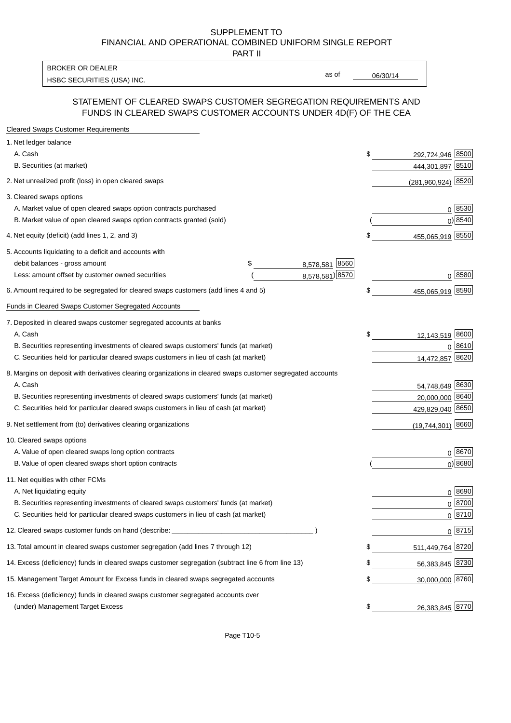#### SUPPLEMENT TO FINANCIAL AND OPERATIONAL COMBINED UNIFORM SINGLE REPORT PART II

HSBC SECURITIES (USA) INC. The contract of the contract of the contract of the contract of the contract of the contract of the contract of the contract of the contract of the contract of the contract of the contract of the BROKER OR DEALER

as of

## STATEMENT OF CLEARED SWAPS CUSTOMER SEGREGATION REQUIREMENTS AND FUNDS IN CLEARED SWAPS CUSTOMER ACCOUNTS UNDER 4D(F) OF THE CEA

| <b>Cleared Swaps Customer Requirements</b>                                                                  |                      |    |                        |
|-------------------------------------------------------------------------------------------------------------|----------------------|----|------------------------|
| 1. Net ledger balance                                                                                       |                      |    |                        |
| A. Cash                                                                                                     |                      | \$ | 8500<br>292,724,946    |
| B. Securities (at market)                                                                                   |                      |    | 444,301,897 8510       |
| 2. Net unrealized profit (loss) in open cleared swaps                                                       |                      |    | 8520<br>(281,960,924)  |
| 3. Cleared swaps options                                                                                    |                      |    |                        |
| A. Market value of open cleared swaps option contracts purchased                                            |                      |    | $0^{8530}$             |
| B. Market value of open cleared swaps option contracts granted (sold)                                       |                      |    | $0)$ 8540              |
| 4. Net equity (deficit) (add lines 1, 2, and 3)                                                             |                      | \$ | 455,065,919 8550       |
| 5. Accounts liquidating to a deficit and accounts with                                                      |                      |    |                        |
| debit balances - gross amount                                                                               | 8,578,581 8560<br>\$ |    |                        |
| Less: amount offset by customer owned securities                                                            | 8,578,581) 8570      |    | 0 8580                 |
| 6. Amount required to be segregated for cleared swaps customers (add lines 4 and 5)                         |                      | S  | 455,065,919 8590       |
| Funds in Cleared Swaps Customer Segregated Accounts                                                         |                      |    |                        |
| 7. Deposited in cleared swaps customer segregated accounts at banks                                         |                      |    |                        |
| A. Cash                                                                                                     |                      | \$ | 12,143,519 8600        |
| B. Securities representing investments of cleared swaps customers' funds (at market)                        |                      |    | 0 8610                 |
| C. Securities held for particular cleared swaps customers in lieu of cash (at market)                       |                      |    | 8620<br>14,472,857     |
| 8. Margins on deposit with derivatives clearing organizations in cleared swaps customer segregated accounts |                      |    |                        |
| A. Cash                                                                                                     |                      |    | 54,748,649 8630        |
| B. Securities representing investments of cleared swaps customers' funds (at market)                        |                      |    | 20,000,000<br>8640     |
| C. Securities held for particular cleared swaps customers in lieu of cash (at market)                       |                      |    | 429,829,040 8650       |
| 9. Net settlement from (to) derivatives clearing organizations                                              |                      |    | 8660<br>(19, 744, 301) |
| 10. Cleared swaps options                                                                                   |                      |    |                        |
| A. Value of open cleared swaps long option contracts                                                        |                      |    | $0^{8670}$             |
| B. Value of open cleared swaps short option contracts                                                       |                      |    | $0$ ) 8680             |
| 11. Net equities with other FCMs                                                                            |                      |    |                        |
| A. Net liquidating equity                                                                                   |                      |    | $0^{8690}$             |
| B. Securities representing investments of cleared swaps customers' funds (at market)                        |                      |    | $0^{8700}$             |
| C. Securities held for particular cleared swaps customers in lieu of cash (at market)                       |                      |    | 0 8710                 |
| 12. Cleared swaps customer funds on hand (describe: _                                                       |                      |    | $0 \;  8715 $          |
| 13. Total amount in cleared swaps customer segregation (add lines 7 through 12)                             |                      |    | 511,449,764 8720       |
| 14. Excess (deficiency) funds in cleared swaps customer segregation (subtract line 6 from line 13)          |                      |    | 56,383,845 8730        |
| 15. Management Target Amount for Excess funds in cleared swaps segregated accounts                          |                      | \$ | 30,000,000 8760        |
| 16. Excess (deficiency) funds in cleared swaps customer segregated accounts over                            |                      |    |                        |
| (under) Management Target Excess                                                                            |                      | \$ | 26,383,845 8770        |